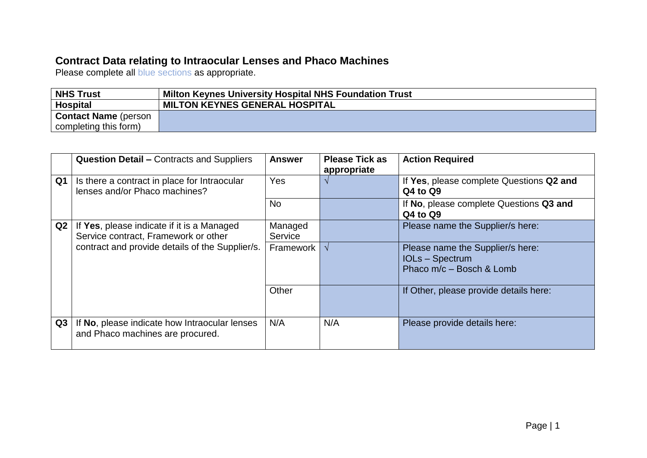## **Contract Data relating to Intraocular Lenses and Phaco Machines**

Please complete all blue sections as appropriate.

| <b>NHS Trust</b>            | Milton Keynes University Hospital NHS Foundation Trust |  |  |
|-----------------------------|--------------------------------------------------------|--|--|
| <b>Hospital</b>             | MILTON KEYNES GENERAL HOSPITAL                         |  |  |
| <b>Contact Name</b> (person |                                                        |  |  |
| completing this form)       |                                                        |  |  |

|    | <b>Question Detail - Contracts and Suppliers</b>                                                                                      | <b>Answer</b>      | <b>Please Tick as</b><br>appropriate | <b>Action Required</b>                                                               |
|----|---------------------------------------------------------------------------------------------------------------------------------------|--------------------|--------------------------------------|--------------------------------------------------------------------------------------|
| Q1 | Is there a contract in place for Intraocular<br>lenses and/or Phaco machines?                                                         | <b>Yes</b>         |                                      | If Yes, please complete Questions Q2 and<br>Q4 to Q9                                 |
|    |                                                                                                                                       | <b>No</b>          |                                      | If No, please complete Questions Q3 and<br>Q4 to Q9                                  |
| Q2 | If Yes, please indicate if it is a Managed<br>Service contract, Framework or other<br>contract and provide details of the Supplier/s. | Managed<br>Service |                                      | Please name the Supplier/s here:                                                     |
|    |                                                                                                                                       | Framework I        |                                      | Please name the Supplier/s here:<br><b>IOLs-Spectrum</b><br>Phaco m/c – Bosch & Lomb |
|    |                                                                                                                                       | Other              |                                      | If Other, please provide details here:                                               |
| Q3 | If No, please indicate how Intraocular lenses<br>and Phaco machines are procured.                                                     | N/A                | N/A                                  | Please provide details here:                                                         |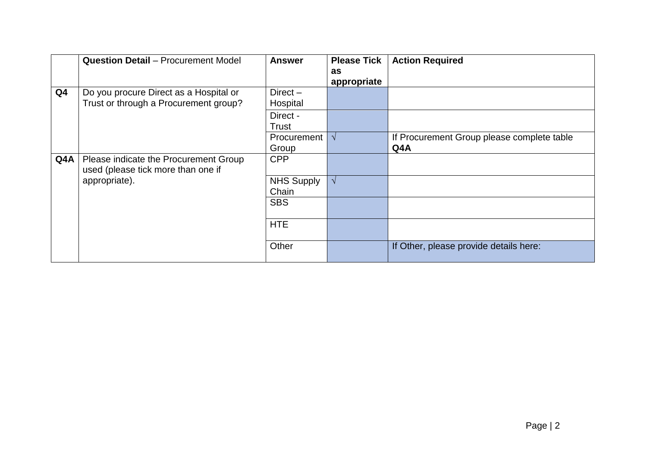|                | <b>Question Detail - Procurement Model</b>                                      | <b>Answer</b>              | <b>Please Tick</b><br>as<br>appropriate | <b>Action Required</b>                            |
|----------------|---------------------------------------------------------------------------------|----------------------------|-----------------------------------------|---------------------------------------------------|
| Q <sub>4</sub> | Do you procure Direct as a Hospital or<br>Trust or through a Procurement group? | $Direct -$<br>Hospital     |                                         |                                                   |
|                |                                                                                 | Direct -<br>Trust          |                                         |                                                   |
|                |                                                                                 | Procurement  <br>Group     |                                         | If Procurement Group please complete table<br>Q4A |
| Q4A            | Please indicate the Procurement Group<br>used (please tick more than one if     | <b>CPP</b>                 |                                         |                                                   |
|                | appropriate).                                                                   | <b>NHS Supply</b><br>Chain | $\mathcal{N}$                           |                                                   |
|                |                                                                                 | <b>SBS</b>                 |                                         |                                                   |
|                |                                                                                 | <b>HTE</b>                 |                                         |                                                   |
|                |                                                                                 | Other                      |                                         | If Other, please provide details here:            |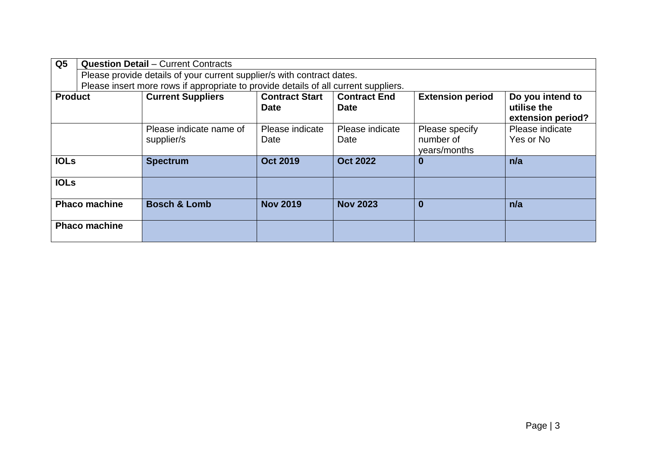| Q <sub>5</sub> | <b>Question Detail - Current Contracts</b>                                          |                                                                        |                                      |                                    |                                             |                                                      |
|----------------|-------------------------------------------------------------------------------------|------------------------------------------------------------------------|--------------------------------------|------------------------------------|---------------------------------------------|------------------------------------------------------|
|                |                                                                                     | Please provide details of your current supplier/s with contract dates. |                                      |                                    |                                             |                                                      |
|                | Please insert more rows if appropriate to provide details of all current suppliers. |                                                                        |                                      |                                    |                                             |                                                      |
| <b>Product</b> |                                                                                     | <b>Current Suppliers</b>                                               | <b>Contract Start</b><br><b>Date</b> | <b>Contract End</b><br><b>Date</b> | <b>Extension period</b>                     | Do you intend to<br>utilise the<br>extension period? |
|                |                                                                                     | Please indicate name of<br>supplier/s                                  | Please indicate<br>Date              | Please indicate<br>Date            | Please specify<br>number of<br>years/months | Please indicate<br>Yes or No                         |
| <b>IOLS</b>    |                                                                                     | <b>Spectrum</b>                                                        | <b>Oct 2019</b>                      | <b>Oct 2022</b>                    | $\bf{0}$                                    | n/a                                                  |
| <b>IOLs</b>    |                                                                                     |                                                                        |                                      |                                    |                                             |                                                      |
|                | <b>Phaco machine</b>                                                                | <b>Bosch &amp; Lomb</b>                                                | <b>Nov 2019</b>                      | <b>Nov 2023</b>                    | $\bm{0}$                                    | n/a                                                  |
|                | <b>Phaco machine</b>                                                                |                                                                        |                                      |                                    |                                             |                                                      |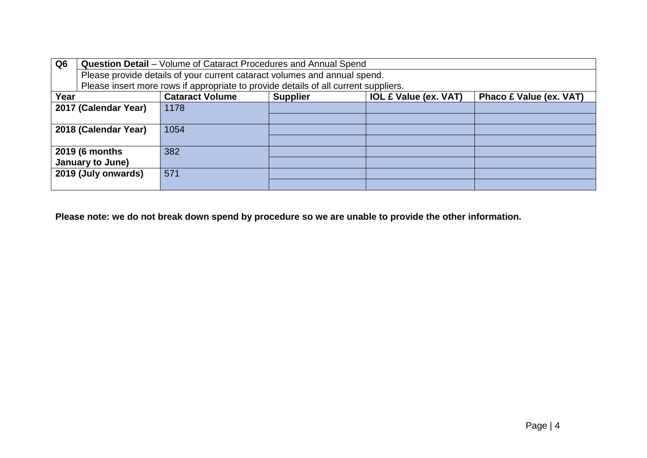| Q <sub>6</sub>                                                                    | <b>Question Detail</b> – Volume of Cataract Procedures and Annual Spend             |      |  |  |                                |  |
|-----------------------------------------------------------------------------------|-------------------------------------------------------------------------------------|------|--|--|--------------------------------|--|
|                                                                                   | Please provide details of your current cataract volumes and annual spend.           |      |  |  |                                |  |
|                                                                                   | Please insert more rows if appropriate to provide details of all current suppliers. |      |  |  |                                |  |
| <b>Cataract Volume</b><br><b>IOL £ Value (ex. VAT)</b><br>Year<br><b>Supplier</b> |                                                                                     |      |  |  | <b>Phaco £ Value (ex. VAT)</b> |  |
|                                                                                   | 2017 (Calendar Year)                                                                | 1178 |  |  |                                |  |
|                                                                                   |                                                                                     |      |  |  |                                |  |
| 2018 (Calendar Year)                                                              |                                                                                     | 1054 |  |  |                                |  |
|                                                                                   |                                                                                     |      |  |  |                                |  |
|                                                                                   | 2019 (6 months                                                                      | 382  |  |  |                                |  |
|                                                                                   | January to June)                                                                    |      |  |  |                                |  |
|                                                                                   | 2019 (July onwards)                                                                 | 571  |  |  |                                |  |
|                                                                                   |                                                                                     |      |  |  |                                |  |

**Please note: we do not break down spend by procedure so we are unable to provide the other information.**